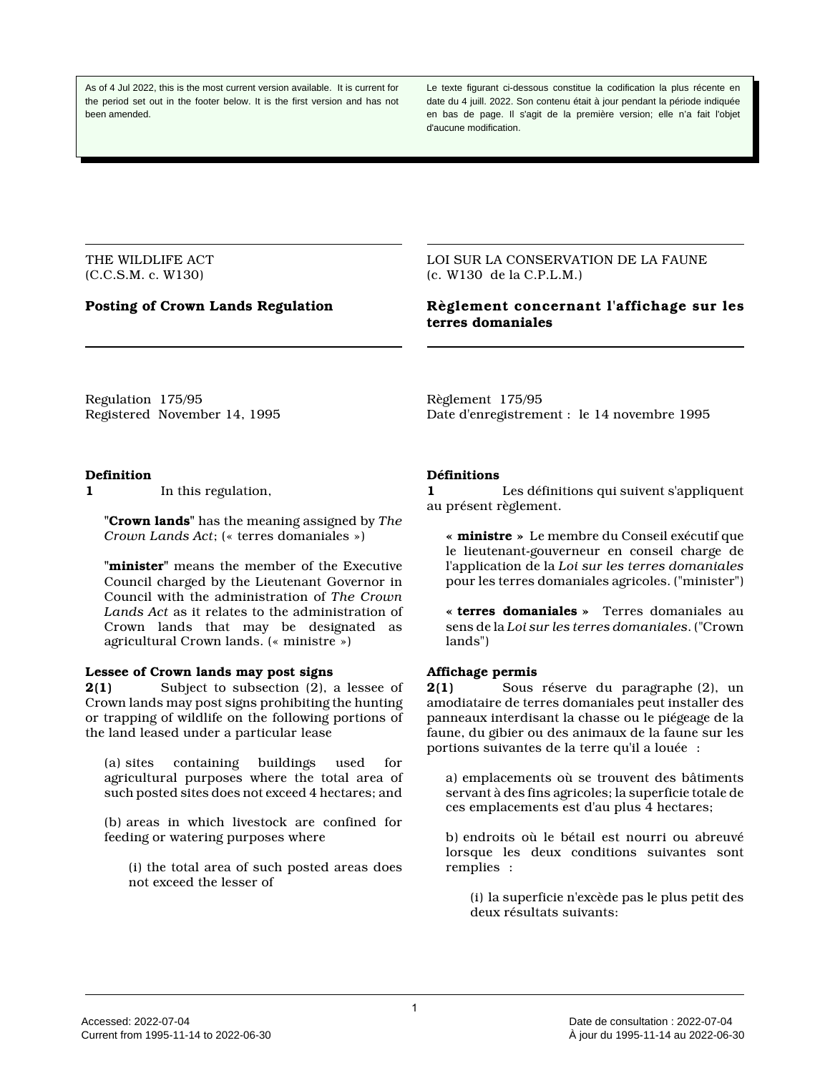As of 4 Jul 2022, this is the most current version available. It is current for the period set out in the footer below. It is the first version and has not been amended.

Le texte figurant ci-dessous constitue la codification la plus récente en date du 4 juill. 2022. Son contenu était à jour pendant la période indiquée en bas de page. Il s'agit de la première version; elle n'a fait l'objet d'aucune modification.

THE WILDLIFE ACT (C.C.S.M. c. W130)

LOI SUR LA CONSERVATION DE LA FAUNE (c. W130 de la C.P.L.M.)

# **Posting of Crown Lands Regulation Règlement concernant l'affichage sur les terres domaniales**

Regulation 175/95 Registered November 14, 1995

### **Definition**

**1** In this regulation,

**"Crown lands"** has the meaning assigned by *The Crown Lands Act*; (« terres domaniales »)

**"minister"** means the member of the Executive Council charged by the Lieutenant Governor in Council with the administration of *The Crown Lands Act* as it relates to the administration of Crown lands that may be designated as agricultural Crown lands. (« ministre »)

### **Lessee of Crown lands may post signs**

**2(1)** Subject to subsection (2), a lessee of Crown lands may post signs prohibiting the hunting or trapping of wildlife on the following portions of the land leased under a particular lease

(a) sites containing buildings used for agricultural purposes where the total area of such posted sites does not exceed 4 hectares; and

(b) areas in which livestock are confined for feeding or watering purposes where

(i) the total area of such posted areas does not exceed the lesser of

Règlement 175/95 Date d'enregistrement : le 14 novembre 1995

## **Définitions**

**1** Les définitions qui suivent s'appliquent au présent règlement.

**« ministre »** Le membre du Conseil exécutif que le lieutenant-gouverneur en conseil charge de l'application de la *Loi sur les terres domaniales* pour les terres domaniales agricoles. ("minister")

**« terres domaniales »** Terres domaniales au sens de la *Loi sur les terres domaniales*. ("Crown lands")

### **Affichage permis**

**2(1)** Sous réserve du paragraphe (2), un amodiataire de terres domaniales peut installer des panneaux interdisant la chasse ou le piégeage de la faune, du gibier ou des animaux de la faune sur les portions suivantes de la terre qu'il a louée :

a) emplacements où se trouvent des bâtiments servant à des fins agricoles; la superficie totale de ces emplacements est d'au plus 4 hectares;

b) endroits où le bétail est nourri ou abreuvé lorsque les deux conditions suivantes sont remplies :

(i) la superficie n'excède pas le plus petit des deux résultats suivants: